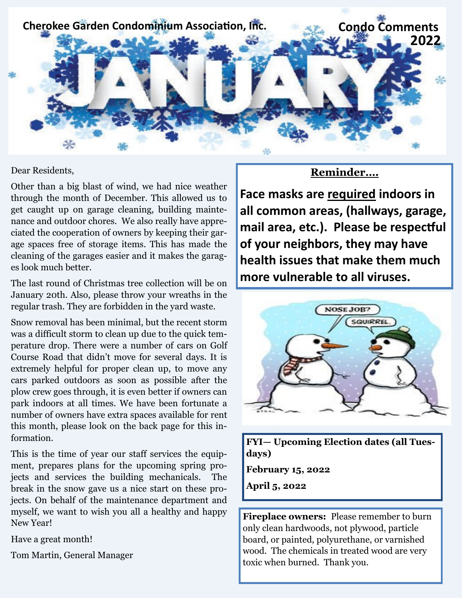

#### Dear Residents,

Other than a big blast of wind, we had nice weather through the month of December. This allowed us to get caught up on garage cleaning, building maintenance and outdoor chores. We also really have appreciated the cooperation of owners by keeping their garage spaces free of storage items. This has made the cleaning of the garages easier and it makes the garages look much better.

The last round of Christmas tree collection will be on January 20th. Also, please throw your wreaths in the regular trash. They are forbidden in the yard waste.

Snow removal has been minimal, but the recent storm was a difficult storm to clean up due to the quick temperature drop. There were a number of cars on Golf Course Road that didn't move for several days. It is extremely helpful for proper clean up, to move any cars parked outdoors as soon as possible after the plow crew goes through, it is even better if owners can park indoors at all times. We have been fortunate a number of owners have extra spaces available for rent this month, please look on the back page for this information.

This is the time of year our staff services the equipment, prepares plans for the upcoming spring projects and services the building mechanicals. The break in the snow gave us a nice start on these projects. On behalf of the maintenance department and myself, we want to wish you all a healthy and happy New Year!

Have a great month!

Tom Martin, General Manager

### **Reminder….**

**Face masks are required indoors in all common areas, (hallways, garage, mail area, etc.). Please be respectful of your neighbors, they may have health issues that make them much more vulnerable to all viruses.**



**FYI— Upcoming Election dates (all Tuesdays) February 15, 2022 April 5, 2022**

**Fireplace owners:** Please remember to burn only clean hardwoods, not plywood, particle board, or painted, polyurethane, or varnished wood. The chemicals in treated wood are very toxic when burned. Thank you.